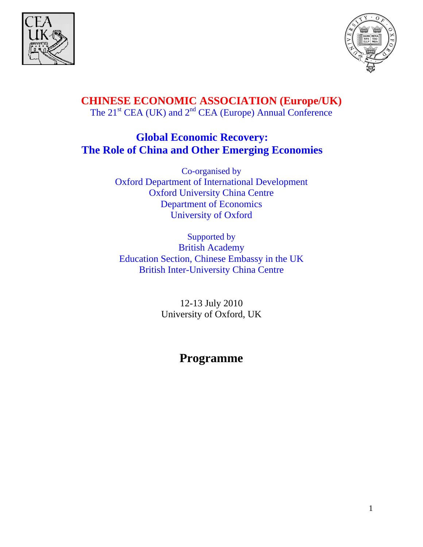



**CHINESE ECONOMIC ASSOCIATION (Europe/UK)**  The 21<sup>st</sup> CEA (UK) and 2<sup>nd</sup> CEA (Europe) Annual Conference

# **Global Economic Recovery: The Role of China and Other Emerging Economies**

Co-organised by Oxford Department of International Development Oxford University China Centre Department of Economics University of Oxford

Supported by British Academy Education Section, Chinese Embassy in the UK British Inter-University China Centre

> 12-13 July 2010 University of Oxford, UK

# **Programme**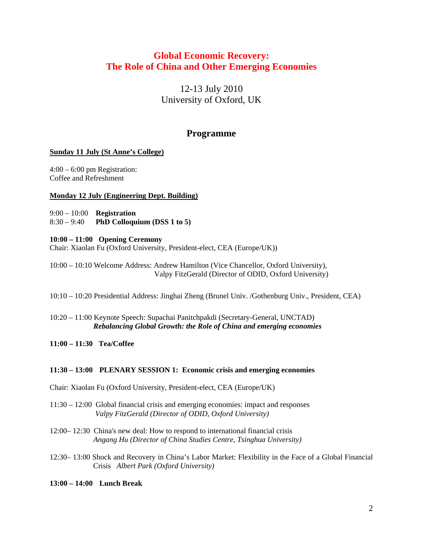# **Global Economic Recovery: The Role of China and Other Emerging Economies**

12-13 July 2010 University of Oxford, UK

# **Programme**

### **Sunday 11 July (St Anne's College)**

4:00 – 6:00 pm Registration: Coffee and Refreshment

### **Monday 12 July (Engineering Dept. Building)**

9:00 – 10:00 **Registration**  8:30 – 9:40 **PhD Colloquium (DSS 1 to 5)**

### **10:00 – 11:00 Opening Ceremony**

Chair: Xiaolan Fu (Oxford University, President-elect, CEA (Europe/UK))

10:00 – 10:10 Welcome Address: Andrew Hamilton (Vice Chancellor, Oxford University), Valpy FitzGerald (Director of ODID, Oxford University)

10:10 – 10:20 Presidential Address: Jinghai Zheng (Brunel Univ. /Gothenburg Univ., President, CEA)

10:20 – 11:00 Keynote Speech: Supachai Panitchpakdi (Secretary-General, UNCTAD)  *Rebalancing Global Growth: the Role of China and emerging economies* 

**11:00 – 11:30 Tea/Coffee** 

### **11:30 – 13:00 PLENARY SESSION 1: Economic crisis and emerging economies**

Chair: Xiaolan Fu (Oxford University, President-elect, CEA (Europe/UK)

11:30 – 12:00 Global financial crisis and emerging economies: impact and responses  *Valpy FitzGerald (Director of ODID, Oxford University)* 

12:00– 12:30 China's new deal: How to respond to international financial crisis  *Angang Hu (Director of China Studies Centre, Tsinghua University)* 

12:30– 13:00 Shock and Recovery in China's Labor Market: Flexibility in the Face of a Global Financial Crisis *Albert Park (Oxford University)*

**13:00 – 14:00 Lunch Break**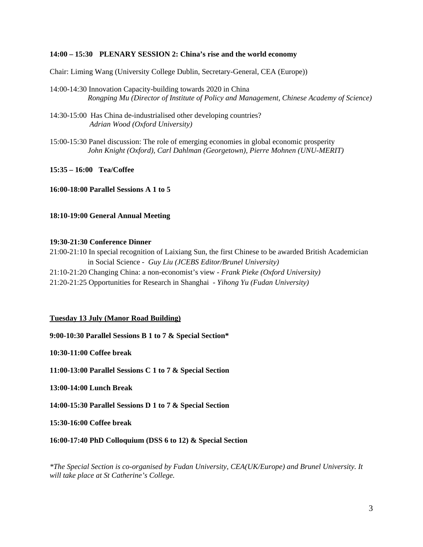#### **14:00 – 15:30 PLENARY SESSION 2: China's rise and the world economy**

Chair: Liming Wang (University College Dublin, Secretary-General, CEA (Europe))

- 14:00-14:30 Innovation Capacity-building towards 2020 in China  *Rongping Mu (Director of Institute of Policy and Management, Chinese Academy of Science)*
- 14:30-15:00 Has China de-industrialised other developing countries?  *Adrian Wood (Oxford University)*
- 15:00-15:30 Panel discussion: The role of emerging economies in global economic prosperity  *John Knight (Oxford), Carl Dahlman (Georgetown), Pierre Mohnen (UNU-MERIT)*

**15:35 – 16:00 Tea/Coffee** 

**16:00-18:00 Parallel Sessions A 1 to 5** 

**18:10-19:00 General Annual Meeting** 

#### **19:30-21:30 Conference Dinner**

21:00-21:10 In special recognition of Laixiang Sun, the first Chinese to be awarded British Academician in Social Science *- Guy Liu (JCEBS Editor/Brunel University)*  21:10-21:20 Changing China: a non-economist's view - *Frank Pieke (Oxford University)*  21:20-21:25 Opportunities for Research in Shanghai - *Yihong Yu (Fudan University)* 

#### **Tuesday 13 July (Manor Road Building)**

**9:00-10:30 Parallel Sessions B 1 to 7 & Special Section\*** 

**10:30-11:00 Coffee break** 

**11:00-13:00 Parallel Sessions C 1 to 7 & Special Section** 

**13:00-14:00 Lunch Break** 

**14:00-15:30 Parallel Sessions D 1 to 7 & Special Section** 

**15:30-16:00 Coffee break** 

**16:00-17:40 PhD Colloquium (DSS 6 to 12) & Special Section** 

*\*The Special Section is co-organised by Fudan University, CEA(UK/Europe) and Brunel University. It will take place at St Catherine's College.*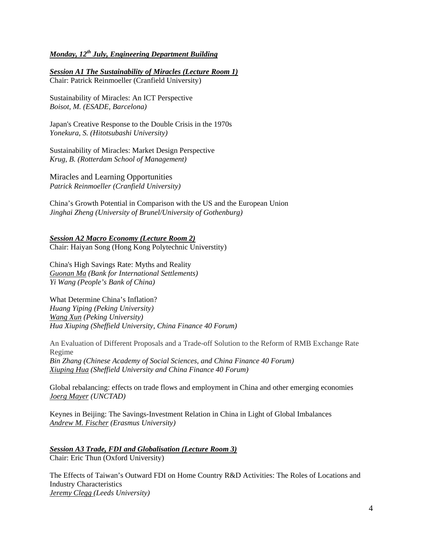# *Monday, 12th July, Engineering Department Building*

*Session A1 The Sustainability of Miracles (Lecture Room 1)* Chair: Patrick Reinmoeller (Cranfield University)

Sustainability of Miracles: An ICT Perspective *Boisot, M. (ESADE, Barcelona)* 

Japan's Creative Response to the Double Crisis in the 1970s *Yonekura, S. (Hitotsubashi University)* 

Sustainability of Miracles: Market Design Perspective *Krug, B. (Rotterdam School of Management)* 

Miracles and Learning Opportunities *Patrick Reinmoeller (Cranfield University)* 

China's Growth Potential in Comparison with the US and the European Union *Jinghai Zheng (University of Brunel/University of Gothenburg)* 

*Session A2 Macro Economy (Lecture Room 2)* Chair: Haiyan Song (Hong Kong Polytechnic Universtity)

China's High Savings Rate: Myths and Reality *Guonan Ma (Bank for International Settlements) Yi Wang (People's Bank of China)* 

What Determine China's Inflation?

*Huang Yiping (Peking University) Wang Xun (Peking University) Hua Xiuping (Sheffield University, China Finance 40 Forum)* 

An Evaluation of Different Proposals and a Trade-off Solution to the Reform of RMB Exchange Rate Regime *Bin Zhang (Chinese Academy of Social Sciences, and China Finance 40 Forum) Xiuping Hua (Sheffield University and China Finance 40 Forum)* 

Global rebalancing: effects on trade flows and employment in China and other emerging economies *Joerg Mayer (UNCTAD)* 

Keynes in Beijing: The Savings-Investment Relation in China in Light of Global Imbalances *Andrew M. Fischer (Erasmus University)* 

*Session A3 Trade, FDI and Globalisation (Lecture Room 3)* Chair: Eric Thun (Oxford University)

The Effects of Taiwan's Outward FDI on Home Country R&D Activities: The Roles of Locations and Industry Characteristics *Jeremy Clegg (Leeds University)*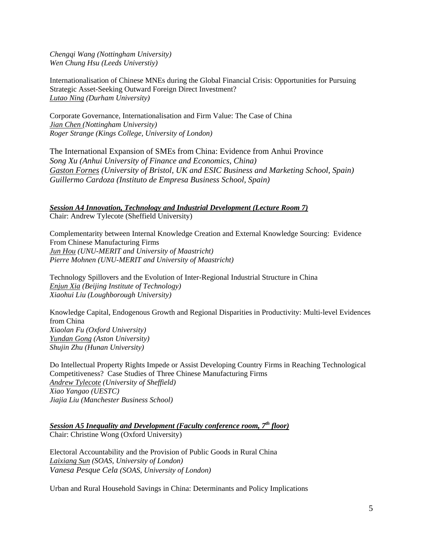*Chengqi Wang (Nottingham University) Wen Chung Hsu (Leeds Universtiy)* 

Internationalisation of Chinese MNEs during the Global Financial Crisis: Opportunities for Pursuing Strategic Asset-Seeking Outward Foreign Direct Investment? *Lutao Ning (Durham University)* 

Corporate Governance, Internationalisation and Firm Value: The Case of China *Jian Chen (Nottingham University) Roger Strange (Kings College, University of London)* 

The International Expansion of SMEs from China: Evidence from Anhui Province *Song Xu (Anhui University of Finance and Economics, China) Gaston Fornes (University of Bristol, UK and ESIC Business and Marketing School, Spain) Guillermo Cardoza (Instituto de Empresa Business School, Spain)* 

*Session A4 Innovation, Technology and Industrial Development (Lecture Room 7)* Chair: Andrew Tylecote (Sheffield University)

Complementarity between Internal Knowledge Creation and External Knowledge Sourcing: Evidence From Chinese Manufacturing Firms *Jun Hou (UNU-MERIT and University of Maastricht) Pierre Mohnen (UNU-MERIT and University of Maastricht)* 

Technology Spillovers and the Evolution of Inter-Regional Industrial Structure in China *Enjun Xia (Beijing Institute of Technology) Xiaohui Liu (Loughborough University)* 

Knowledge Capital, Endogenous Growth and Regional Disparities in Productivity: Multi-level Evidences from China *Xiaolan Fu (Oxford University) Yundan Gong (Aston University) Shujin Zhu (Hunan University)* 

Do Intellectual Property Rights Impede or Assist Developing Country Firms in Reaching Technological Competitiveness? Case Studies of Three Chinese Manufacturing Firms *Andrew Tylecote (University of Sheffield) Xiao Yangao (UESTC) Jiajia Liu (Manchester Business School)* 

*Session A5 Inequality and Development (Faculty conference room, 7th floor)* Chair: Christine Wong (Oxford University)

Electoral Accountability and the Provision of Public Goods in Rural China *Laixiang Sun (SOAS, University of London) Vanesa Pesque Cela (SOAS, University of London)* 

Urban and Rural Household Savings in China: Determinants and Policy Implications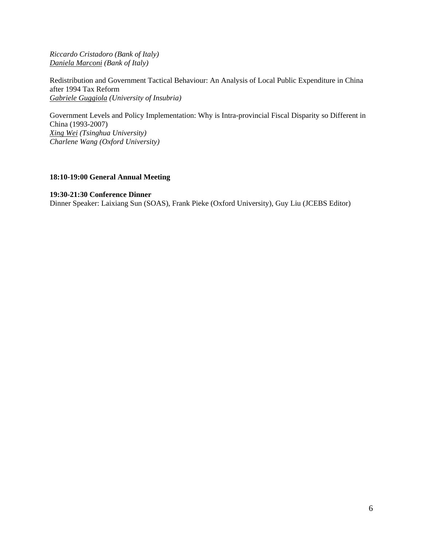*Riccardo Cristadoro (Bank of Italy) Daniela Marconi (Bank of Italy)* 

Redistribution and Government Tactical Behaviour: An Analysis of Local Public Expenditure in China after 1994 Tax Reform *Gabriele Guggiola (University of Insubria)* 

Government Levels and Policy Implementation: Why is Intra-provincial Fiscal Disparity so Different in China (1993-2007) *Xing Wei (Tsinghua University) Charlene Wang (Oxford University)* 

### **18:10-19:00 General Annual Meeting**

#### **19:30-21:30 Conference Dinner**

Dinner Speaker: Laixiang Sun (SOAS), Frank Pieke (Oxford University), Guy Liu (JCEBS Editor)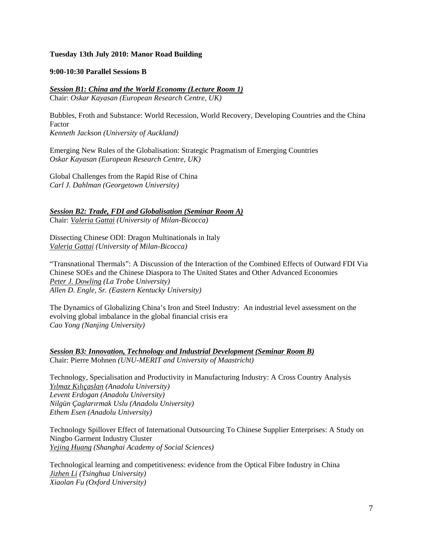#### **Tuesday 13th July 2010: Manor Road Building**

#### **9:00-10:30 Parallel Sessions B**

#### *Session B1: China and the World Economy (Lecture Room 1)* Chair: *Oskar Kayasan (European Research Centre, UK)*

Bubbles, Froth and Substance: World Recession, World Recovery, Developing Countries and the China Factor *Kenneth Jackson (University of Auckland)* 

Emerging New Rules of the Globalisation: Strategic Pragmatism of Emerging Countries *Oskar Kayasan (European Research Centre, UK)* 

Global Challenges from the Rapid Rise of China *Carl J. Dahlman (Georgetown University)* 

# *Session B2: Trade, FDI and Globalisation (Seminar Room A)*

Chair: *Valeria Gattai (University of Milan-Bicocca)* 

Dissecting Chinese ODI: Dragon Multinationals in Italy *Valeria Gattai (University of Milan-Bicocca)* 

"Transnational Thermals": A Discussion of the Interaction of the Combined Effects of Outward FDI Via Chinese SOEs and the Chinese Diaspora to The United States and Other Advanced Economies *Peter J. Dowling (La Trobe University) Allen D. Engle, Sr. (Eastern Kentucky University)* 

The Dynamics of Globalizing China's Iron and Steel Industry: An industrial level assessment on the evolving global imbalance in the global financial crisis era *Cao Yong (Nanjing University)* 

*Session B3: Innovation, Technology and Industrial Development (Seminar Room B)* Chair: Pierre Mohnen *(UNU-MERIT and University of Maastricht)* 

Technology, Specialisation and Productivity in Manufacturing Industry: A Cross Country Analysis *Yılmaz Kılıçaslan (Anadolu University) Levent Erdogan (Anadolu University) Nilgün Çaglarırmak Uslu (Anadolu University) Ethem Esen (Anadolu University)* 

Technology Spillover Effect of International Outsourcing To Chinese Supplier Enterprises: A Study on Ningbo Garment Industry Cluster *Yejing Huang (Shanghai Academy of Social Sciences)* 

Technological learning and competitiveness: evidence from the Optical Fibre Industry in China *Jizhen Li (Tsinghua University) Xiaolan Fu (Oxford University)*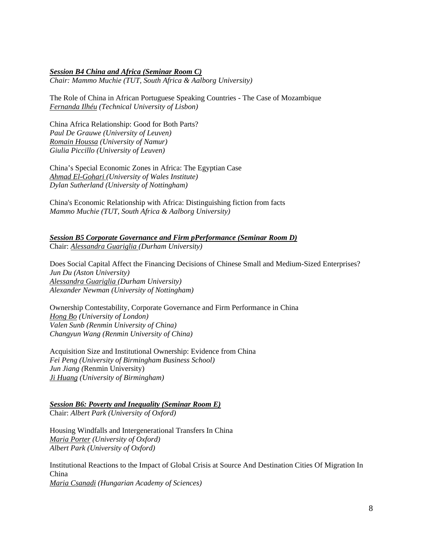#### *Session B4 China and Africa (Seminar Room C)*

*Chair: Mammo Muchie (TUT, South Africa & Aalborg University)* 

The Role of China in African Portuguese Speaking Countries - The Case of Mozambique *Fernanda Ilhéu (Technical University of Lisbon)* 

China Africa Relationship: Good for Both Parts? *Paul De Grauwe (University of Leuven) Romain Houssa (University of Namur) Giulia Piccillo (University of Leuven)* 

China's Special Economic Zones in Africa: The Egyptian Case *Ahmad El-Gohari (University of Wales Institute) Dylan Sutherland (University of Nottingham)* 

China's Economic Relationship with Africa: Distinguishing fiction from facts *Mammo Muchie (TUT, South Africa & Aalborg University)* 

*Session B5 Corporate Governance and Firm pPerformance (Seminar Room D)* Chair: *Alessandra Guariglia (Durham University)* 

Does Social Capital Affect the Financing Decisions of Chinese Small and Medium-Sized Enterprises? *Jun Du (Aston University) Alessandra Guariglia (Durham University) Alexander Newman (University of Nottingham)* 

Ownership Contestability, Corporate Governance and Firm Performance in China *Hong Bo (University of London) Valen Sunb (Renmin University of China) Changyun Wang (Renmin University of China)* 

Acquisition Size and Institutional Ownership: Evidence from China *Fei Peng (University of Birmingham Business School) Jun Jiang (*Renmin University) *Ji Huang (University of Birmingham)* 

*Session B6: Poverty and Inequality (Seminar Room E)* Chair: *Albert Park (University of Oxford)* 

Housing Windfalls and Intergenerational Transfers In China *Maria Porter (University of Oxford) Albert Park (University of Oxford)* 

Institutional Reactions to the Impact of Global Crisis at Source And Destination Cities Of Migration In China *Maria Csanadi (Hungarian Academy of Sciences)*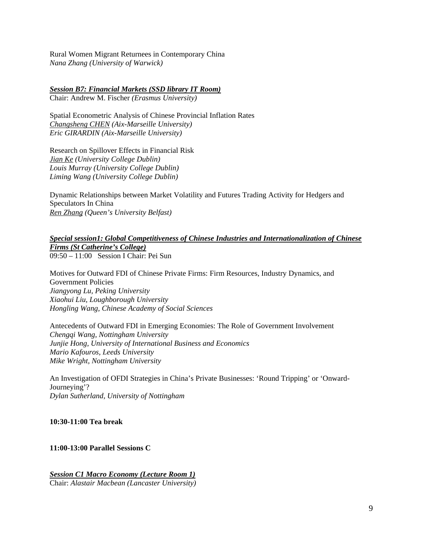Rural Women Migrant Returnees in Contemporary China *Nana Zhang (University of Warwick)* 

## *Session B7: Financial Markets (SSD library IT Room)*

Chair: Andrew M. Fischer *(Erasmus University)* 

Spatial Econometric Analysis of Chinese Provincial Inflation Rates *Changsheng CHEN (Aix-Marseille University) Eric GIRARDIN (Aix-Marseille University)* 

Research on Spillover Effects in Financial Risk *Jian Ke (University College Dublin) Louis Murray (University College Dublin) Liming Wang (University College Dublin)* 

Dynamic Relationships between Market Volatility and Futures Trading Activity for Hedgers and Speculators In China *Ren Zhang (Queen's University Belfast)* 

*Special session1: Global Competitiveness of Chinese Industries and Internationalization of Chinese Firms (St Catherine's College)* 09:50 – 11:00 Session I Chair: Pei Sun

Motives for Outward FDI of Chinese Private Firms: Firm Resources, Industry Dynamics, and Government Policies *Jiangyong Lu, Peking University Xiaohui Liu, Loughborough University Hongling Wang, Chinese Academy of Social Sciences* 

Antecedents of Outward FDI in Emerging Economies: The Role of Government Involvement *Chengqi Wang, Nottingham University Junjie Hong, University of International Business and Economics Mario Kafouros, Leeds University Mike Wright, Nottingham University* 

An Investigation of OFDI Strategies in China's Private Businesses: 'Round Tripping' or 'Onward-Journeying'? *Dylan Sutherland, University of Nottingham* 

**10:30-11:00 Tea break** 

**11:00-13:00 Parallel Sessions C** 

*Session C1 Macro Economy (Lecture Room 1)* Chair: *Alastair Macbean (Lancaster University)*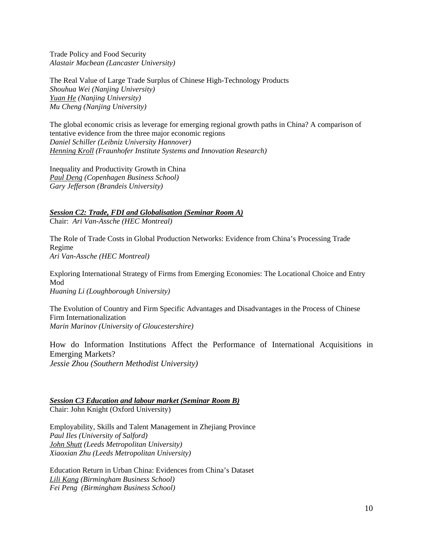Trade Policy and Food Security *Alastair Macbean (Lancaster University)* 

The Real Value of Large Trade Surplus of Chinese High-Technology Products *Shouhua Wei (Nanjing University) Yuan He (Nanjing University) Mu Cheng (Nanjing University)* 

The global economic crisis as leverage for emerging regional growth paths in China? A comparison of tentative evidence from the three major economic regions *Daniel Schiller (Leibniz University Hannover) Henning Kroll (Fraunhofer Institute Systems and Innovation Research)* 

Inequality and Productivity Growth in China *Paul Deng (Copenhagen Business School) Gary Jefferson (Brandeis University)* 

*Session C2: Trade, FDI and Globalisation (Seminar Room A)* Chair: *Ari Van-Assche (HEC Montreal)* 

The Role of Trade Costs in Global Production Networks: Evidence from China's Processing Trade Regime *Ari Van-Assche (HEC Montreal)* 

Exploring International Strategy of Firms from Emerging Economies: The Locational Choice and Entry Mod *Huaning Li (Loughborough University)* 

The Evolution of Country and Firm Specific Advantages and Disadvantages in the Process of Chinese Firm Internationalization *Marin Marinov (University of Gloucestershire)* 

How do Information Institutions Affect the Performance of International Acquisitions in Emerging Markets? *Jessie Zhou (Southern Methodist University)* 

*Session C3 Education and labour market (Seminar Room B)* Chair: John Knight (Oxford University)

Employability, Skills and Talent Management in Zhejiang Province *Paul Iles (University of Salford) John Shutt (Leeds Metropolitan University) Xiaoxian Zhu (Leeds Metropolitan University)* 

Education Return in Urban China: Evidences from China's Dataset *Lili Kang (Birmingham Business School) Fei Peng (Birmingham Business School)*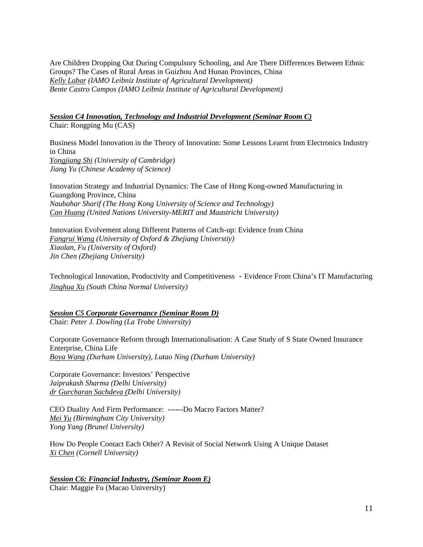Are Children Dropping Out During Compulsory Schooling, and Are There Differences Between Ethnic Groups? The Cases of Rural Areas in Guizhou And Hunan Provinces, China *Kelly Labar (IAMO Leibniz Institute of Agricultural Development) Bente Castro Campos (IAMO Leibniz Institute of Agricultural Development)* 

*Session C4 Innovation, Technology and Industrial Development (Seminar Room C)* Chair: Rongping Mu (CAS)

Business Model Innovation in the Theory of Innovation: Some Lessons Learnt from Electronics Industry in China *Yongjiang Shi (University of Cambridge) Jiang Yu (Chinese Academy of Science)* 

Innovation Strategy and Industrial Dynamics: The Case of Hong Kong-owned Manufacturing in Guangdong Province, China *Naubahar Sharif (The Hong Kong University of Science and Technology) Can Huang (United Nations University-MERIT and Maastricht University)* 

Innovation Evolvement along Different Patterns of Catch-up: Evidence from China *Fangrui Wang (University of Oxford & Zhejiang Universtiy) Xiaolan, Fu (University of Oxford) Jin Chen (Zhejiang University)* 

Technological Innovation, Productivity and Competitiveness -Evidence From China's IT Manufacturing *Jinghua Xu (South China Normal University)* 

*Session C5 Corporate Governance (Seminar Room D)* Chair: *Peter J. Dowling (La Trobe University)* 

Corporate Governance Reform through Internationalisation: A Case Study of S State Owned Insurance Enterprise, China Life *Boya Wang (Durham University), Lutao Ning (Durham University)* 

Corporate Governance: Investors' Perspective *Jaiprakash Sharma (Delhi University) dr Gurcharan Sachdeva (Delhi University)* 

CEO Duality And Firm Performance: ------Do Macro Factors Matter? *Mei Yu (Birmingham City University) Yong Yang (Brunel University)* 

How Do People Contact Each Other? A Revisit of Social Network Using A Unique Dataset *Xi Chen (Cornell University)* 

*Session C6: Financial Industry, (Seminar Room E)* Chair: Maggie Fu (Macao University)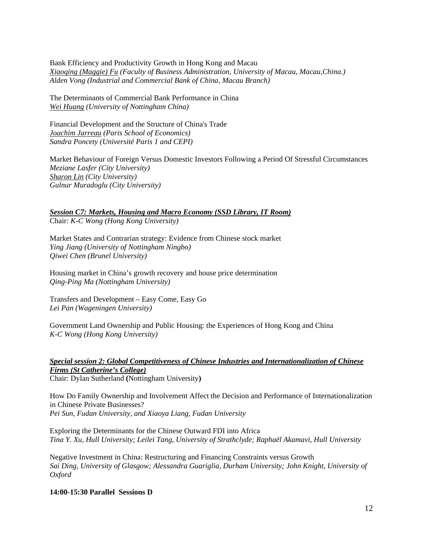Bank Efficiency and Productivity Growth in Hong Kong and Macau *Xiaoqing (Maggie) Fu (Faculty of Business Administration, University of Macau, Macau,China.) Alden Vong (Industrial and Commercial Bank of China, Macau Branch)* 

The Determinants of Commercial Bank Performance in China *Wei Huang (University of Nottingham China)* 

Financial Development and the Structure of China's Trade *Joachim Jarreau (Paris School of Economics) Sandra Poncety (Université Paris 1 and CEPI)* 

Market Behaviour of Foreign Versus Domestic Investors Following a Period Of Stressful Circumstances *Meziane Lasfer (City University) Sharon Lin (City University) Gulnur Muradoglu (City University)* 

*Session C7: Markets, Housing and Macro Economy (SSD Library, IT Room)* Chair: *K-C Wong (Hong Kong University)* 

Market States and Contrarian strategy: Evidence from Chinese stock market *Ying Jiang (University of Nottingham Ningbo) Qiwei Chen (Brunel University)*

Housing market in China's growth recovery and house price determination *Qing-Ping Ma (Nottingham University)* 

Transfers and Development – Easy Come, Easy Go *Lei Pan (Wageningen University)* 

Government Land Ownership and Public Housing: the Experiences of Hong Kong and China *K-C Wong (Hong Kong University)* 

# *Special session 2: Global Competitiveness of Chinese Industries and Internationalization of Chinese Firms (St Catherine's College)*

Chair: Dylan Sutherland **(**Nottingham University**)** 

How Do Family Ownership and Involvement Affect the Decision and Performance of Internationalization in Chinese Private Businesses? *Pei Sun, Fudan University, and Xiaoya Liang, Fudan University* 

Exploring the Determinants for the Chinese Outward FDI into Africa *Tina Y. Xu, Hull University; Leilei Tang, University of Strathclyde; Raphaël Akamavi, Hull University* 

Negative Investment in China: Restructuring and Financing Constraints versus Growth *Sai Ding, University of Glasgow; Alessandra Guariglia, Durham University; John Knight, University of Oxford* 

**14:00-15:30 Parallel Sessions D**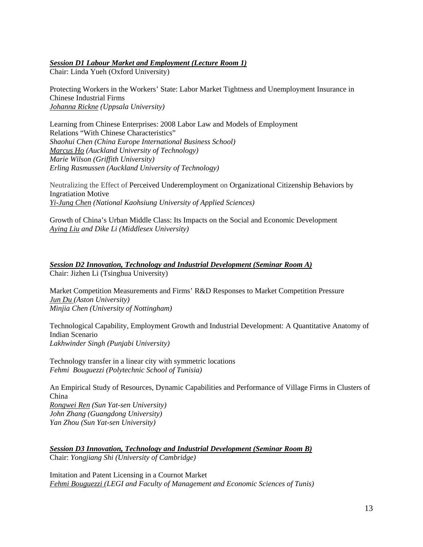## *Session D1 Labour Market and Employment (Lecture Room 1)*

Chair: Linda Yueh (Oxford University)

Protecting Workers in the Workers' State: Labor Market Tightness and Unemployment Insurance in Chinese Industrial Firms *Johanna Rickne (Uppsala University)* 

Learning from Chinese Enterprises: 2008 Labor Law and Models of Employment Relations "With Chinese Characteristics" *Shaohui Chen (China Europe International Business School) Marcus Ho (Auckland University of Technology) Marie Wilson (Griffith University) Erling Rasmussen (Auckland University of Technology)* 

Neutralizing the Effect of Perceived Underemployment on Organizational Citizenship Behaviors by Ingratiation Motive *Yi-Jung Chen (National Kaohsiung University of Applied Sciences)* 

Growth of China's Urban Middle Class: Its Impacts on the Social and Economic Development *Aying Liu and Dike Li (Middlesex University)* 

*Session D2 Innovation, Technology and Industrial Development (Seminar Room A)* Chair: Jizhen Li (Tsinghua University)

Market Competition Measurements and Firms' R&D Responses to Market Competition Pressure *Jun Du (Aston University) Minjia Chen (University of Nottingham)* 

Technological Capability, Employment Growth and Industrial Development: A Quantitative Anatomy of Indian Scenario *Lakhwinder Singh (Punjabi University)* 

Technology transfer in a linear city with symmetric locations *Fehmi Bouguezzi (Polytechnic School of Tunisia)* 

An Empirical Study of Resources, Dynamic Capabilities and Performance of Village Firms in Clusters of China

*Rongwei Ren (Sun Yat-sen University) John Zhang (Guangdong University) Yan Zhou (Sun Yat-sen University)* 

*Session D3 Innovation, Technology and Industrial Development (Seminar Room B)* Chair: *Yongjiang Shi (University of Cambridge)* 

Imitation and Patent Licensing in a Cournot Market *Fehmi Bouguezzi (LEGI and Faculty of Management and Economic Sciences of Tunis)*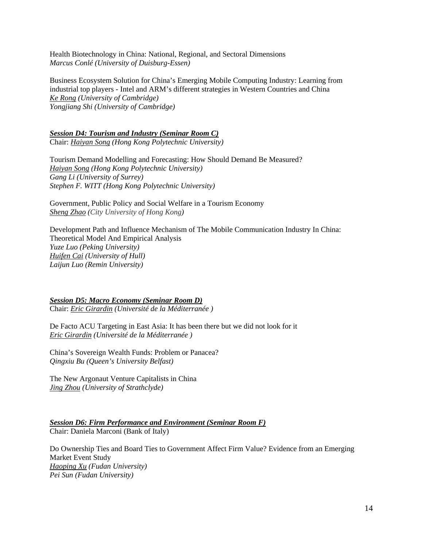Health Biotechnology in China: National, Regional, and Sectoral Dimensions *Marcus Conlé (University of Duisburg-Essen)* 

Business Ecosystem Solution for China's Emerging Mobile Computing Industry: Learning from industrial top players - Intel and ARM's different strategies in Western Countries and China *Ke Rong (University of Cambridge) Yongjiang Shi (University of Cambridge)* 

### *Session D4: Tourism and Industry (Seminar Room C)*

Chair: *Haiyan Song (Hong Kong Polytechnic University)* 

Tourism Demand Modelling and Forecasting: How Should Demand Be Measured? *Haiyan Song (Hong Kong Polytechnic University) Gang Li (University of Surrey) Stephen F. WITT (Hong Kong Polytechnic University)* 

Government, Public Policy and Social Welfare in a Tourism Economy *Sheng Zhao (City University of Hong Kong)* 

Development Path and Influence Mechanism of The Mobile Communication Industry In China: Theoretical Model And Empirical Analysis *Yuze Luo (Peking University) Huifen Cai (University of Hull) Laijun Luo (Remin University)* 

#### *Session D5: Macro Economy (Seminar Room D)*

Chair: *Eric Girardin (Université de la Méditerranée )* 

De Facto ACU Targeting in East Asia: It has been there but we did not look for it *Eric Girardin (Université de la Méditerranée )* 

China's Sovereign Wealth Funds: Problem or Panacea? *Qingxiu Bu (Queen's University Belfast)* 

The New Argonaut Venture Capitalists in China *Jing Zhou (University of Strathclyde)* 

*Session D6: Firm Performance and Environment (Seminar Room F)* Chair: Daniela Marconi (Bank of Italy)

Do Ownership Ties and Board Ties to Government Affect Firm Value? Evidence from an Emerging Market Event Study *Haoping Xu (Fudan University) Pei Sun (Fudan University)*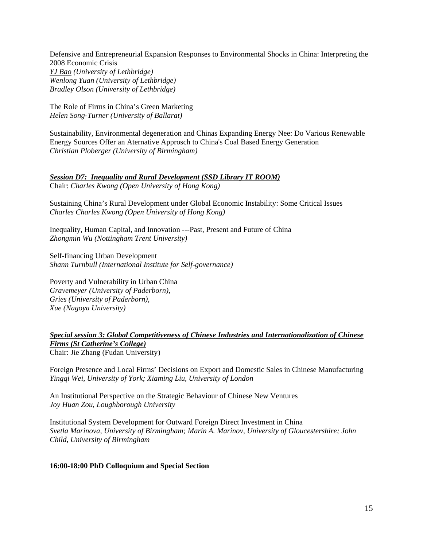Defensive and Entrepreneurial Expansion Responses to Environmental Shocks in China: Interpreting the 2008 Economic Crisis *YJ Bao (University of Lethbridge) Wenlong Yuan (University of Lethbridge) Bradley Olson (University of Lethbridge)* 

The Role of Firms in China's Green Marketing *Helen Song-Turner (University of Ballarat)* 

Sustainability, Environmental degeneration and Chinas Expanding Energy Nee: Do Various Renewable Energy Sources Offer an Aternative Approsch to China's Coal Based Energy Generation *Christian Ploberger (University of Birmingham)* 

*Session D7: Inequality and Rural Development (SSD Library IT ROOM)*

Chair: *Charles Kwong (Open University of Hong Kong)*

Sustaining China's Rural Development under Global Economic Instability: Some Critical Issues *Charles Charles Kwong (Open University of Hong Kong)* 

Inequality, Human Capital, and Innovation ---Past, Present and Future of China *Zhongmin Wu (Nottingham Trent University)* 

Self-financing Urban Development *Shann Turnbull (International Institute for Self-governance)* 

Poverty and Vulnerability in Urban China *Gravemeyer (University of Paderborn), Gries (University of Paderborn), Xue (Nagoya University)* 

*Special session 3: Global Competitiveness of Chinese Industries and Internationalization of Chinese Firms (St Catherine's College)* Chair: Jie Zhang (Fudan University)

Foreign Presence and Local Firms' Decisions on Export and Domestic Sales in Chinese Manufacturing *Yingqi Wei, University of York; Xiaming Liu, University of London* 

An Institutional Perspective on the Strategic Behaviour of Chinese New Ventures *Joy Huan Zou, Loughborough University* 

Institutional System Development for Outward Foreign Direct Investment in China *Svetla Marinova, University of Birmingham; Marin A. Marinov, University of Gloucestershire; John Child, University of Birmingham* 

**16:00-18:00 PhD Colloquium and Special Section**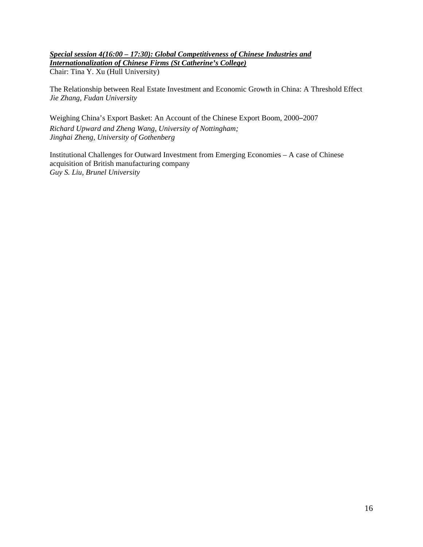## *Special session 4(16:00 – 17:30): Global Competitiveness of Chinese Industries and Internationalization of Chinese Firms (St Catherine's College)* Chair: Tina Y. Xu (Hull University)

The Relationship between Real Estate Investment and Economic Growth in China: A Threshold Effect *Jie Zhang, Fudan University* 

Weighing China's Export Basket: An Account of the Chinese Export Boom, 2000–2007 *Richard Upward and Zheng Wang, University of Nottingham; Jinghai Zheng, University of Gothenberg* 

Institutional Challenges for Outward Investment from Emerging Economies – A case of Chinese acquisition of British manufacturing company *Guy S. Liu, Brunel University*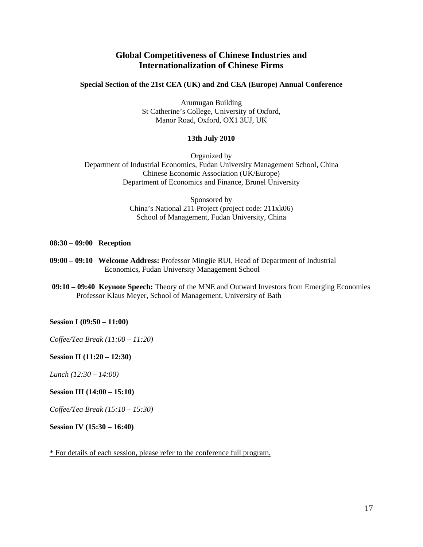# **Global Competitiveness of Chinese Industries and Internationalization of Chinese Firms**

## **Special Section of the 21st CEA (UK) and 2nd CEA (Europe) Annual Conference**

Arumugan Building St Catherine's College, University of Oxford, Manor Road, Oxford, OX1 3UJ, UK

### **13th July 2010**

Organized by Department of Industrial Economics, Fudan University Management School, China Chinese Economic Association (UK/Europe) Department of Economics and Finance, Brunel University

> Sponsored by China's National 211 Project (project code: 211xk06) School of Management, Fudan University, China

#### **08:30 – 09:00 Reception**

- **09:00 09:10 Welcome Address:** Professor Mingjie RUI, Head of Department of Industrial Economics, Fudan University Management School
- **09:10 09:40 Keynote Speech:** Theory of the MNE and Outward Investors from Emerging Economies Professor Klaus Meyer, School of Management, University of Bath

#### **Session I (09:50 – 11:00)**

*Coffee/Tea Break (11:00 – 11:20)* 

**Session II (11:20 – 12:30)** 

*Lunch (12:30 – 14:00)* 

### **Session III (14:00 – 15:10)**

*Coffee/Tea Break (15:10 – 15:30)* 

**Session IV (15:30 – 16:40)** 

\* For details of each session, please refer to the conference full program.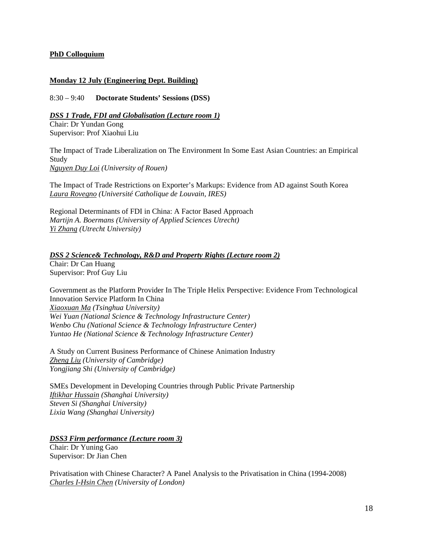### **PhD Colloquium**

## **Monday 12 July (Engineering Dept. Building)**

8:30 – 9:40 **Doctorate Students' Sessions (DSS)**

*DSS 1 Trade, FDI and Globalisation (Lecture room 1)*

Chair: Dr Yundan Gong Supervisor: Prof Xiaohui Liu

The Impact of Trade Liberalization on The Environment In Some East Asian Countries: an Empirical Study *Nguyen Duy Loi (University of Rouen)* 

The Impact of Trade Restrictions on Exporter's Markups: Evidence from AD against South Korea *Laura Rovegno (Université Catholique de Louvain, IRES)* 

Regional Determinants of FDI in China: A Factor Based Approach *Martijn A. Boermans (University of Applied Sciences Utrecht) Yi Zhang (Utrecht University)* 

*DSS 2 Science& Technology, R&D and Property Rights (Lecture room 2)* Chair: Dr Can Huang Supervisor: Prof Guy Liu

Government as the Platform Provider In The Triple Helix Perspective: Evidence From Technological Innovation Service Platform In China *Xiaoxuan Ma (Tsinghua University) Wei Yuan (National Science & Technology Infrastructure Center) Wenbo Chu (National Science & Technology Infrastructure Center) Yuntao He (National Science & Technology Infrastructure Center)* 

A Study on Current Business Performance of Chinese Animation Industry *Zheng Liu (University of Cambridge) Yongjiang Shi (University of Cambridge)* 

SMEs Development in Developing Countries through Public Private Partnership *Iftikhar Hussain (Shanghai University) Steven Si (Shanghai University) Lixia Wang (Shanghai University)* 

*DSS3 Firm performance (Lecture room 3)* Chair: Dr Yuning Gao Supervisor: Dr Jian Chen

Privatisation with Chinese Character? A Panel Analysis to the Privatisation in China (1994-2008) *Charles I-Hsin Chen (University of London)*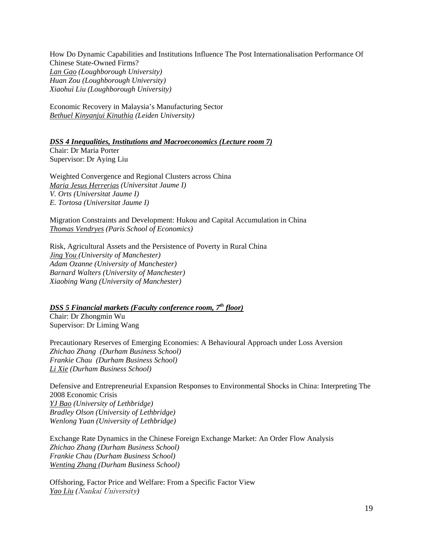How Do Dynamic Capabilities and Institutions Influence The Post Internationalisation Performance Of Chinese State-Owned Firms? *Lan Gao (Loughborough University) Huan Zou (Loughborough University) Xiaohui Liu (Loughborough University)* 

Economic Recovery in Malaysia's Manufacturing Sector *Bethuel Kinyanjui Kinuthia (Leiden University)* 

*DSS 4 Inequalities, Institutions and Macroeconomics (Lecture room 7)*

Chair: Dr Maria Porter Supervisor: Dr Aying Liu

Weighted Convergence and Regional Clusters across China *Maria Jesus Herrerias (Universitat Jaume I) V. Orts (Universitat Jaume I) E. Tortosa (Universitat Jaume I)* 

Migration Constraints and Development: Hukou and Capital Accumulation in China *Thomas Vendryes (Paris School of Economics)* 

Risk, Agricultural Assets and the Persistence of Poverty in Rural China *Jing You (University of Manchester) Adam Ozanne (University of Manchester) Barnard Walters (University of Manchester) Xiaobing Wang (University of Manchester)* 

*DSS 5 Financial markets (Faculty conference room, 7th floor)* Chair: Dr Zhongmin Wu Supervisor: Dr Liming Wang

Precautionary Reserves of Emerging Economies: A Behavioural Approach under Loss Aversion *Zhichao Zhang (Durham Business School) Frankie Chau (Durham Business School) Li Xie (Durham Business School)* 

Defensive and Entrepreneurial Expansion Responses to Environmental Shocks in China: Interpreting The 2008 Economic Crisis *YJ Bao (University of Lethbridge) Bradley Olson (University of Lethbridge) Wenlong Yuan (University of Lethbridge)* 

Exchange Rate Dynamics in the Chinese Foreign Exchange Market: An Order Flow Analysis *Zhichao Zhang (Durham Business School) Frankie Chau (Durham Business School) Wenting Zhang (Durham Business School)* 

Offshoring, Factor Price and Welfare: From a Specific Factor View *Yao Liu (*Nankai University*)*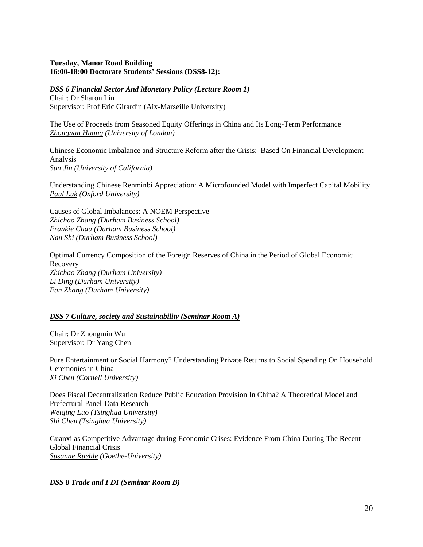## **Tuesday, Manor Road Building 16:00-18:00 Doctorate Students' Sessions (DSS8-12):**

*DSS 6 Financial Sector And Monetary Policy (Lecture Room 1)*

Chair: Dr Sharon Lin Supervisor: Prof Eric Girardin (Aix-Marseille University)

The Use of Proceeds from Seasoned Equity Offerings in China and Its Long-Term Performance *Zhongnan Huang (University of London)* 

Chinese Economic Imbalance and Structure Reform after the Crisis: Based On Financial Development Analysis *Sun Jin (University of California)* 

Understanding Chinese Renminbi Appreciation: A Microfounded Model with Imperfect Capital Mobility *Paul Luk (Oxford University)* 

Causes of Global Imbalances: A NOEM Perspective *Zhichao Zhang (Durham Business School) Frankie Chau (Durham Business School) Nan Shi (Durham Business School)* 

Optimal Currency Composition of the Foreign Reserves of China in the Period of Global Economic Recovery *Zhichao Zhang (Durham University) Li Ding (Durham University) Fan Zhang (Durham University)* 

### *DSS 7 Culture, society and Sustainability (Seminar Room A)*

Chair: Dr Zhongmin Wu Supervisor: Dr Yang Chen

Pure Entertainment or Social Harmony? Understanding Private Returns to Social Spending On Household Ceremonies in China *Xi Chen (Cornell University)* 

Does Fiscal Decentralization Reduce Public Education Provision In China? A Theoretical Model and Prefectural Panel-Data Research *Weiqing Luo (Tsinghua University) Shi Chen (Tsinghua University)* 

Guanxi as Competitive Advantage during Economic Crises: Evidence From China During The Recent Global Financial Crisis *Susanne Ruehle (Goethe-University)* 

# *DSS 8 Trade and FDI (Seminar Room B)*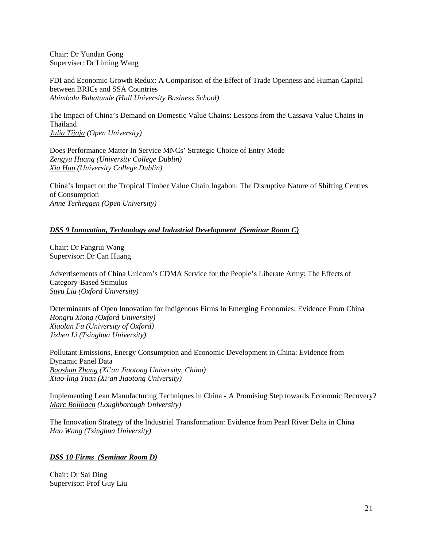Chair: Dr Yundan Gong Superviser: Dr Liming Wang

FDI and Economic Growth Redux: A Comparison of the Effect of Trade Openness and Human Capital between BRICs and SSA Countries *Abimbola Babatunde (Hull University Business School)* 

The Impact of China's Demand on Domestic Value Chains: Lessons from the Cassava Value Chains in Thailand *Julia Tijaja (Open University)* 

Does Performance Matter In Service MNCs' Strategic Choice of Entry Mode *Zengyu Huang (University College Dublin) Xia Han (University College Dublin)* 

China's Impact on the Tropical Timber Value Chain Ingabon: The Disruptive Nature of Shifting Centres of Consumption *Anne Terheggen (Open University)* 

## *DSS 9 Innovation, Technology and Industrial Development (Seminar Room C)*

Chair: Dr Fangrui Wang Supervisor: Dr Can Huang

Advertisements of China Unicom's CDMA Service for the People's Liberate Army: The Effects of Category-Based Stimulus *Suyu Liu (Oxford University)* 

Determinants of Open Innovation for Indigenous Firms In Emerging Economies: Evidence From China *Hongru Xiong (Oxford University) Xiaolan Fu (University of Oxford) Jizhen Li (Tsinghua University)* 

Pollutant Emissions, Energy Consumption and Economic Development in China: Evidence from Dynamic Panel Data *Baoshan Zhang (Xi'an Jiaotong University, China) Xiao-ling Yuan (Xi'an Jiaotong University)* 

Implementing Lean Manufacturing Techniques in China - A Promising Step towards Economic Recovery? *Marc Bollbach (Loughborough University)* 

The Innovation Strategy of the Industrial Transformation: Evidence from Pearl River Delta in China *Hao Wang (Tsinghua University)* 

### *DSS 10 Firms (Seminar Room D)*

Chair: Dr Sai Ding Supervisor: Prof Guy Liu